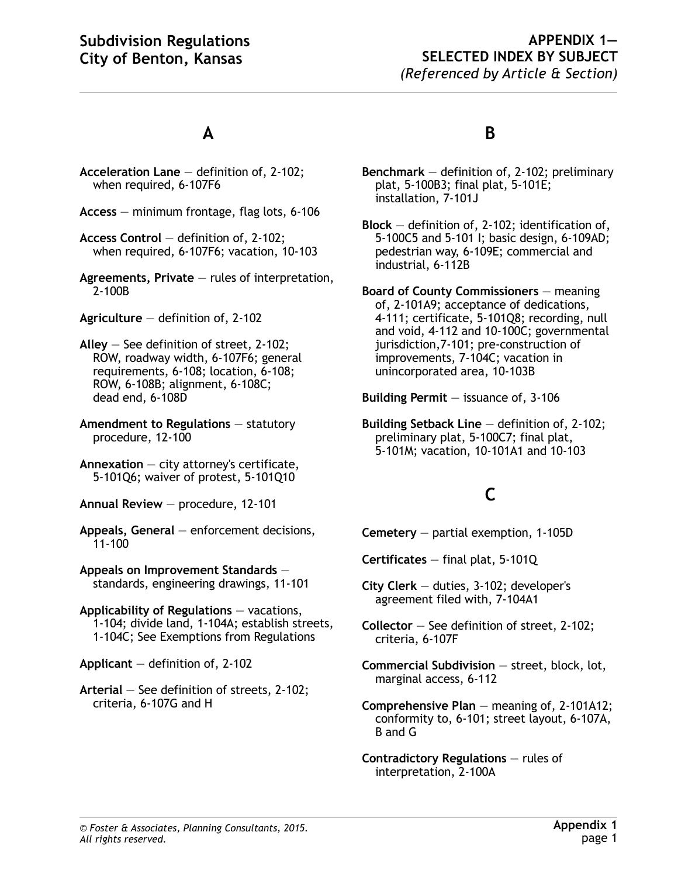#### **APPENDIX 1— SELECTED INDEX BY SUBJECT** *(Referenced by Article & Section)*

## **A**

- **Acceleration Lane** definition of, 2-102; when required, 6-107F6
- **Access** minimum frontage, flag lots, 6-106
- **Access Control** definition of, 2-102; when required, 6-107F6; vacation, 10-103
- **Agreements, Private** rules of interpretation, 2-100B
- **Agriculture** definition of, 2-102
- **Alley** See definition of street, 2-102; ROW, roadway width, 6-107F6; general requirements, 6-108; location, 6-108; ROW, 6-108B; alignment, 6-108C; dead end, 6-108D
- **Amendment to Regulations** statutory procedure, 12-100
- **Annexation** city attorney's certificate, 5-101Q6; waiver of protest, 5-101Q10
- **Annual Review** procedure, 12-101
- **Appeals, General** enforcement decisions, 11-100
- **Appeals on Improvement Standards** standards, engineering drawings, 11-101
- **Applicability of Regulations** vacations, 1-104; divide land, 1-104A; establish streets, 1-104C; See Exemptions from Regulations
- **Applicant** definition of, 2-102
- **Arterial** See definition of streets, 2-102; criteria, 6-107G and H

#### **B**

- **Benchmark** definition of, 2-102; preliminary plat, 5-100B3; final plat, 5-101E; installation, 7-101J
- **Block** definition of, 2-102; identification of, 5-100C5 and 5-101 I; basic design, 6-109AD; pedestrian way, 6-109E; commercial and industrial, 6-112B
- **Board of County Commissioners** meaning of, 2-101A9; acceptance of dedications, 4-111; certificate, 5-101Q8; recording, null and void, 4-112 and 10-100C; governmental jurisdiction,7-101; pre-construction of improvements, 7-104C; vacation in unincorporated area, 10-103B
- **Building Permit** issuance of, 3-106
- **Building Setback Line** definition of, 2-102; preliminary plat, 5-100C7; final plat, 5-101M; vacation, 10-101A1 and 10-103

## **C**

- **Cemetery** partial exemption, 1-105D
- **Certificates** final plat, 5-101Q
- **City Clerk** duties, 3-102; developer's agreement filed with, 7-104A1
- **Collector** See definition of street, 2-102; criteria, 6-107F
- **Commercial Subdivision** street, block, lot, marginal access, 6-112
- **Comprehensive Plan** meaning of, 2-101A12; conformity to, 6-101; street layout, 6-107A, B and G
- **Contradictory Regulations** rules of interpretation, 2-100A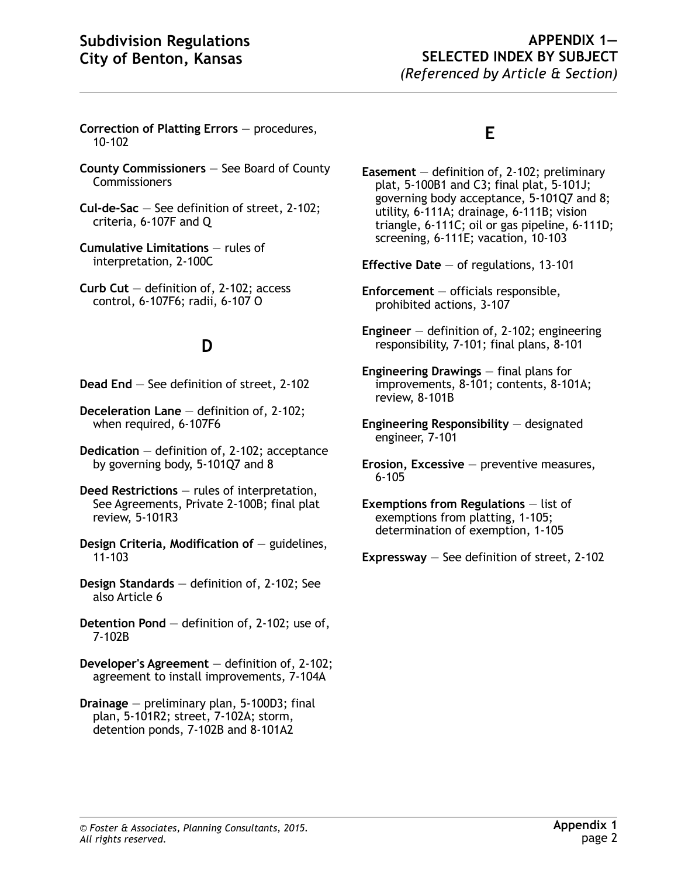- **Correction of Platting Errors** procedures, 10-102
- **County Commissioners** See Board of County **Commissioners**
- **Cul-de-Sac** See definition of street, 2-102; criteria, 6-107F and Q
- **Cumulative Limitations** rules of interpretation, 2-100C
- **Curb Cut** definition of, 2-102; access control, 6-107F6; radii, 6-107 O

## **D**

- **Dead End** See definition of street, 2-102
- **Deceleration Lane** definition of, 2-102; when required, 6-107F6
- **Dedication** definition of, 2-102; acceptance by governing body, 5-101Q7 and 8
- **Deed Restrictions** rules of interpretation, See Agreements, Private 2-100B; final plat review, 5-101R3
- **Design Criteria, Modification of** guidelines, 11-103
- **Design Standards** definition of, 2-102; See also Article 6
- **Detention Pond** definition of, 2-102; use of, 7-102B
- **Developer's Agreement** definition of, 2-102; agreement to install improvements, 7-104A
- **Drainage** preliminary plan, 5-100D3; final plan, 5-101R2; street, 7-102A; storm, detention ponds, 7-102B and 8-101A2

## **E**

- **Easement** definition of, 2-102; preliminary plat, 5-100B1 and C3; final plat, 5-101J; governing body acceptance, 5-101Q7 and 8; utility, 6-111A; drainage, 6-111B; vision triangle, 6-111C; oil or gas pipeline, 6-111D; screening, 6-111E; vacation, 10-103
- **Effective Date** of regulations, 13-101
- **Enforcement** officials responsible, prohibited actions, 3-107
- **Engineer** definition of, 2-102; engineering responsibility, 7-101; final plans, 8-101
- **Engineering Drawings** final plans for improvements, 8-101; contents, 8-101A; review, 8-101B
- **Engineering Responsibility** designated engineer, 7-101
- **Erosion, Excessive** preventive measures, 6-105
- **Exemptions from Regulations** list of exemptions from platting, 1-105; determination of exemption, 1-105
- **Expressway** See definition of street, 2-102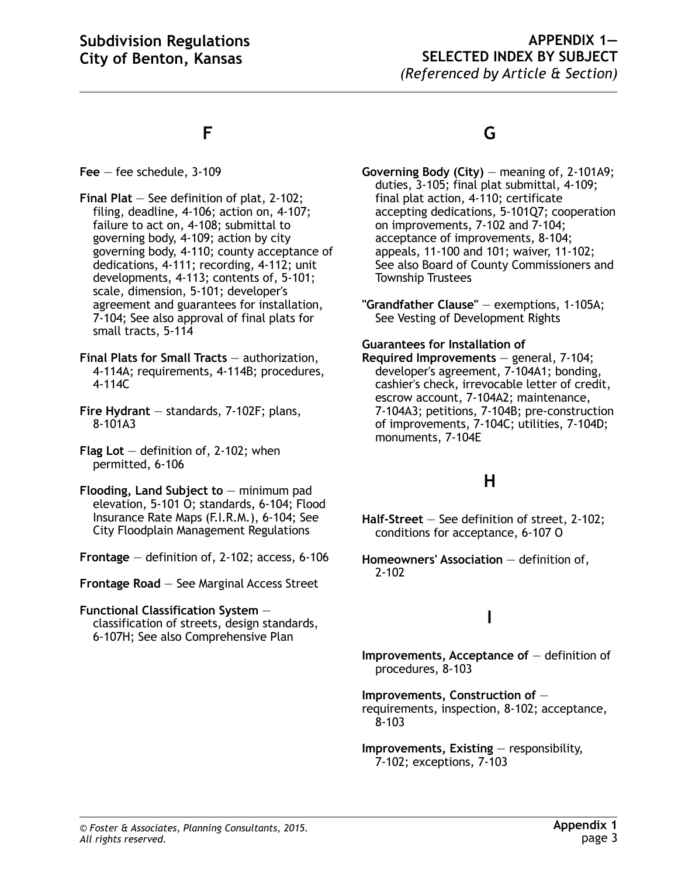#### **APPENDIX 1— SELECTED INDEX BY SUBJECT** *(Referenced by Article & Section)*

## **F**

**Fee** — fee schedule, 3-109

- **Final Plat** See definition of plat, 2-102; filing, deadline, 4-106; action on, 4-107; failure to act on, 4-108; submittal to governing body, 4-109; action by city governing body, 4-110; county acceptance of dedications, 4-111; recording, 4-112; unit developments, 4-113; contents of, 5-101; scale, dimension, 5-101; developer's agreement and guarantees for installation, 7-104; See also approval of final plats for small tracts, 5-114
- **Final Plats for Small Tracts** authorization, 4-114A; requirements, 4-114B; procedures, 4-114C
- **Fire Hydrant** standards, 7-102F; plans, 8-101A3
- **Flag Lot** definition of, 2-102; when permitted, 6-106
- **Flooding, Land Subject to** minimum pad elevation, 5-101 O; standards, 6-104; Flood Insurance Rate Maps (F.I.R.M.), 6-104; See City Floodplain Management Regulations
- **Frontage** definition of, 2-102; access, 6-106

**Frontage Road** — See Marginal Access Street

#### **Functional Classification System** classification of streets, design standards, 6-107H; See also Comprehensive Plan

## **G**

**Governing Body (City)** — meaning of, 2-101A9; duties, 3-105; final plat submittal, 4-109; final plat action, 4-110; certificate accepting dedications, 5-101Q7; cooperation on improvements, 7-102 and 7-104; acceptance of improvements, 8-104; appeals, 11-100 and 101; waiver, 11-102; See also Board of County Commissioners and Township Trustees

**"Grandfather Clause"** — exemptions, 1-105A; See Vesting of Development Rights

#### **Guarantees for Installation of**

**Required Improvements** — general, 7-104; developer's agreement, 7-104A1; bonding, cashier's check, irrevocable letter of credit, escrow account, 7-104A2; maintenance, 7-104A3; petitions, 7-104B; pre-construction of improvements, 7-104C; utilities, 7-104D; monuments, 7-104E

## **H**

- **Half-Street** See definition of street, 2-102; conditions for acceptance, 6-107 O
- **Homeowners' Association** definition of, 2-102

## **I**

- **Improvements, Acceptance of** definition of procedures, 8-103
- **Improvements, Construction of** requirements, inspection, 8-102; acceptance, 8-103
- **Improvements, Existing** responsibility, 7-102; exceptions, 7-103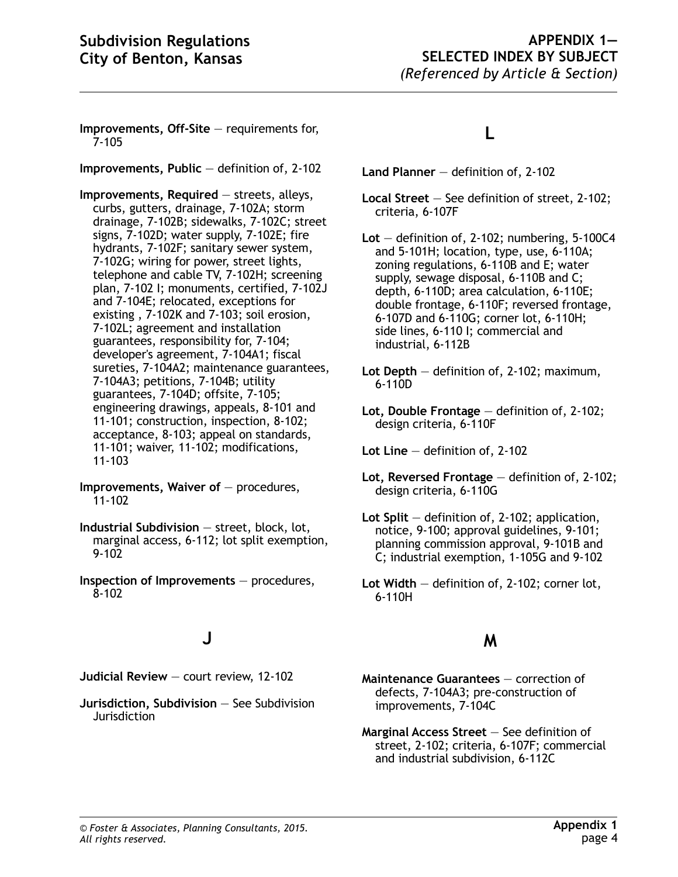**Improvements, Off-Site** — requirements for, 7-105

**Improvements, Public** — definition of, 2-102

**Improvements, Required** — streets, alleys, curbs, gutters, drainage, 7-102A; storm drainage, 7-102B; sidewalks, 7-102C; street signs, 7-102D; water supply, 7-102E; fire hydrants, 7-102F; sanitary sewer system, 7-102G; wiring for power, street lights, telephone and cable TV, 7-102H; screening plan, 7-102 I; monuments, certified, 7-102J and 7-104E; relocated, exceptions for existing , 7-102K and 7-103; soil erosion, 7-102L; agreement and installation guarantees, responsibility for, 7-104; developer's agreement, 7-104A1; fiscal sureties, 7-104A2; maintenance guarantees, 7-104A3; petitions, 7-104B; utility guarantees, 7-104D; offsite, 7-105; engineering drawings, appeals, 8-101 and 11-101; construction, inspection, 8-102; acceptance, 8-103; appeal on standards, 11-101; waiver, 11-102; modifications, 11-103

**Improvements, Waiver of** — procedures, 11-102

- **Industrial Subdivision** street, block, lot, marginal access, 6-112; lot split exemption, 9-102
- **Inspection of Improvements**  procedures, 8-102

## **J**

**Judicial Review** — court review, 12-102

**Jurisdiction, Subdivision** — See Subdivision **Jurisdiction** 

## **L**

- **Land Planner** definition of, 2-102
- **Local Street** See definition of street, 2-102; criteria, 6-107F

**Lot** — definition of, 2-102; numbering, 5-100C4 and 5-101H; location, type, use, 6-110A; zoning regulations, 6-110B and E; water supply, sewage disposal, 6-110B and C; depth, 6-110D; area calculation, 6-110E; double frontage, 6-110F; reversed frontage, 6-107D and 6-110G; corner lot, 6-110H; side lines, 6-110 I; commercial and industrial, 6-112B

- **Lot Depth** definition of, 2-102; maximum, 6-110D
- **Lot, Double Frontage** definition of, 2-102; design criteria, 6-110F

**Lot Line** — definition of, 2-102

- **Lot, Reversed Frontage** definition of, 2-102; design criteria, 6-110G
- **Lot Split** definition of, 2-102; application, notice, 9-100; approval guidelines, 9-101; planning commission approval, 9-101B and C; industrial exemption, 1-105G and 9-102

#### **M**

- **Maintenance Guarantees** correction of defects, 7-104A3; pre-construction of improvements, 7-104C
- **Marginal Access Street** See definition of street, 2-102; criteria, 6-107F; commercial and industrial subdivision, 6-112C

**Lot Width** — definition of, 2-102; corner lot, 6-110H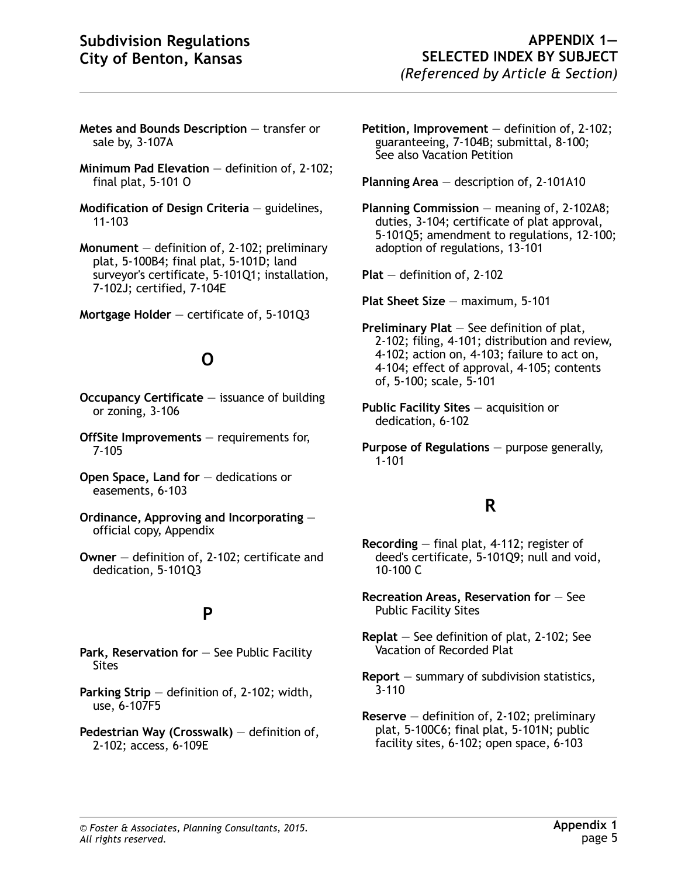- **Metes and Bounds Description** transfer or sale by, 3-107A
- **Minimum Pad Elevation** definition of, 2-102; final plat, 5-101 O
- **Modification of Design Criteria**  guidelines, 11-103

**Monument** — definition of, 2-102; preliminary plat, 5-100B4; final plat, 5-101D; land surveyor's certificate, 5-101Q1; installation, 7-102J; certified, 7-104E

**Mortgage Holder** — certificate of, 5-101Q3

# **O**

- **Occupancy Certificate** issuance of building or zoning, 3-106
- **OffSite Improvements** requirements for, 7-105
- **Open Space, Land for** dedications or easements, 6-103
- **Ordinance, Approving and Incorporating** official copy, Appendix
- **Owner** definition of, 2-102; certificate and dedication, 5-101Q3

## **P**

- **Park, Reservation for** See Public Facility Sites
- **Parking Strip** definition of, 2-102; width, use, 6-107F5
- **Pedestrian Way (Crosswalk)**  definition of, 2-102; access, 6-109E
- **Petition, Improvement** definition of, 2-102; guaranteeing, 7-104B; submittal, 8-100; See also Vacation Petition
- **Planning Area** description of, 2-101A10
- **Planning Commission** meaning of, 2-102A8; duties, 3-104; certificate of plat approval, 5-101Q5; amendment to regulations, 12-100; adoption of regulations, 13-101

**Plat** — definition of, 2-102

- **Plat Sheet Size** maximum, 5-101
- **Preliminary Plat** See definition of plat, 2-102; filing, 4-101; distribution and review, 4-102; action on, 4-103; failure to act on, 4-104; effect of approval, 4-105; contents of, 5-100; scale, 5-101
- **Public Facility Sites** acquisition or dedication, 6-102
- **Purpose of Regulations** purpose generally, 1-101

## **R**

- **Recording** final plat, 4-112; register of deed's certificate, 5-101Q9; null and void, 10-100 C
- **Recreation Areas, Reservation for**  See Public Facility Sites
- **Replat** See definition of plat, 2-102; See Vacation of Recorded Plat
- **Report** summary of subdivision statistics, 3-110
- **Reserve** definition of, 2-102; preliminary plat, 5-100C6; final plat, 5-101N; public facility sites, 6-102; open space, 6-103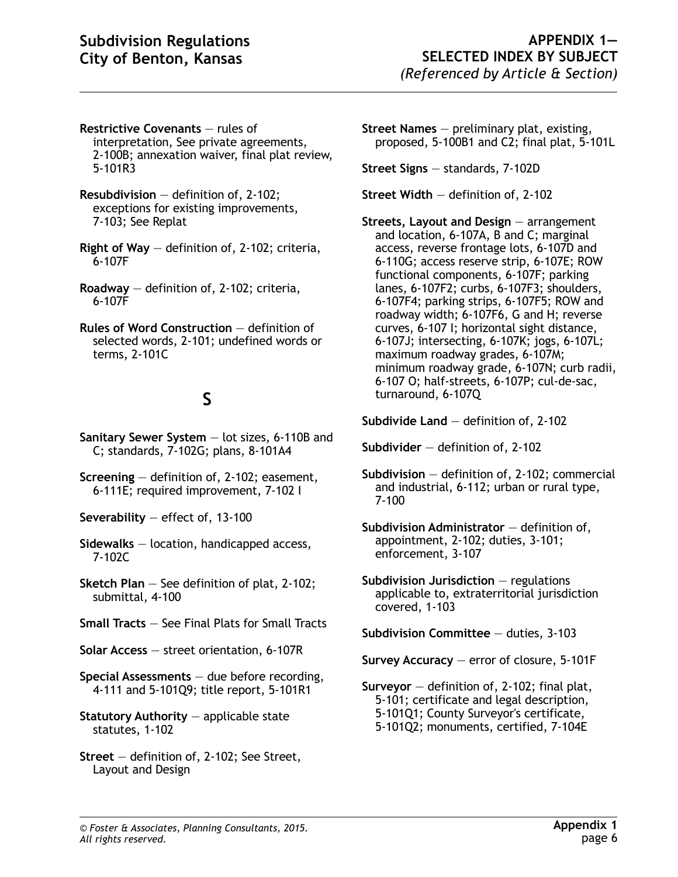- **Restrictive Covenants** rules of interpretation, See private agreements, 2-100B; annexation waiver, final plat review, 5-101R3
- **Resubdivision** definition of, 2-102; exceptions for existing improvements, 7-103; See Replat
- **Right of Way** definition of, 2-102; criteria, 6-107F
- **Roadway** definition of, 2-102; criteria, 6-107F
- **Rules of Word Construction**  definition of selected words, 2-101; undefined words or terms, 2-101C

# **S**

- **Sanitary Sewer System** lot sizes, 6-110B and C; standards, 7-102G; plans, 8-101A4
- **Screening** definition of, 2-102; easement, 6-111E; required improvement, 7-102 I
- **Severability** effect of, 13-100
- **Sidewalks** location, handicapped access, 7-102C
- **Sketch Plan** See definition of plat, 2-102; submittal, 4-100
- **Small Tracts** See Final Plats for Small Tracts
- **Solar Access** street orientation, 6-107R
- **Special Assessments** due before recording, 4-111 and 5-101Q9; title report, 5-101R1
- **Statutory Authority** applicable state statutes, 1-102
- **Street** definition of, 2-102; See Street, Layout and Design
- **Street Names** preliminary plat, existing, proposed, 5-100B1 and C2; final plat, 5-101L
- **Street Signs** standards, 7-102D
- **Street Width** definition of, 2-102
- **Streets, Layout and Design** arrangement and location, 6-107A, B and C; marginal access, reverse frontage lots, 6-107D and 6-110G; access reserve strip, 6-107E; ROW functional components, 6-107F; parking lanes, 6-107F2; curbs, 6-107F3; shoulders, 6-107F4; parking strips, 6-107F5; ROW and roadway width; 6-107F6, G and H; reverse curves, 6-107 I; horizontal sight distance, 6-107J; intersecting, 6-107K; jogs, 6-107L; maximum roadway grades, 6-107M; minimum roadway grade, 6-107N; curb radii, 6-107 O; half-streets, 6-107P; cul-de-sac, turnaround, 6-107Q
- **Subdivide Land** definition of, 2-102
- **Subdivider** definition of, 2-102
- **Subdivision** definition of, 2-102; commercial and industrial, 6-112; urban or rural type, 7-100
- **Subdivision Administrator**  definition of, appointment, 2-102; duties, 3-101; enforcement, 3-107
- **Subdivision Jurisdiction** regulations applicable to, extraterritorial jurisdiction covered, 1-103
- **Subdivision Committee** duties, 3-103
- **Survey Accuracy** error of closure, 5-101F
- **Surveyor** definition of, 2-102; final plat, 5-101; certificate and legal description, 5-101Q1; County Surveyor's certificate, 5-101Q2; monuments, certified, 7-104E